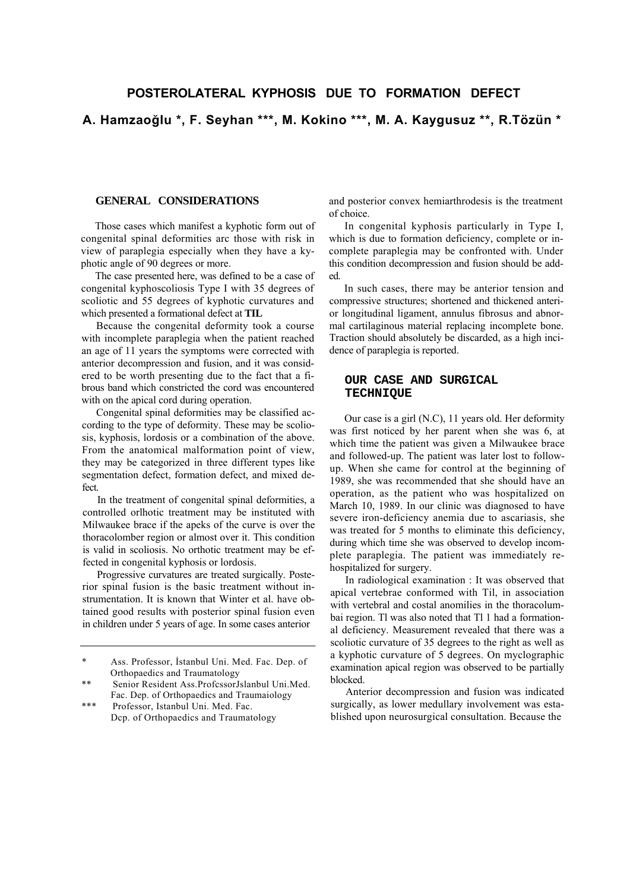## **POSTEROLATERAL KYPHOSIS DUE TO FORMATION DEFECT**

**A. HamzaoğIu \*, F. Seyhan \*\*\*, M. Kokino \*\*\*, M. A. Kaygusuz \*\*, R.Tözün \***

## **GENERAL CONSIDERATIONS**

Those cases which manifest a kyphotic form out of congenital spinal deformities arc those with risk in view of paraplegia especially when they have a kyphotic angle of 90 degrees or more.

The case presented here, was defined to be a case of congenital kyphoscoliosis Type I with 35 degrees of scoliotic and 55 degrees of kyphotic curvatures and which presented a formational defect at **TIL**

Because the congenital deformity took a course with incomplete paraplegia when the patient reached an age of 11 years the symptoms were corrected with anterior decompression and fusion, and it was considered to be worth presenting due to the fact that a fibrous band which constricted the cord was encountered with on the apical cord during operation.

Congenital spinal deformities may be classified according to the type of deformity. These may be scoliosis, kyphosis, lordosis or a combination of the above. From the anatomical malformation point of view, they may be categorized in three different types like segmentation defect, formation defect, and mixed defect.

In the treatment of congenital spinal deformities, a controlled orlhotic treatment may be instituted with Milwaukee brace if the apeks of the curve is over the thoracolomber region or almost over it. This condition is valid in scoliosis. No orthotic treatment may be effected in congenital kyphosis or lordosis.

Progressive curvatures are treated surgically. Posterior spinal fusion is the basic treatment without instrumentation. It is known that Winter et al. have obtained good results with posterior spinal fusion even in children under 5 years of age. In some cases anterior

and posterior convex hemiarthrodesis is the treatment of choice.

In congenital kyphosis particularly in Type I, which is due to formation deficiency, complete or incomplete paraplegia may be confronted with. Under this condition decompression and fusion should be added.

In such cases, there may be anterior tension and compressive structures; shortened and thickened anterior longitudinal ligament, annulus fibrosus and abnormal cartilaginous material replacing incomplete bone. Traction should absolutely be discarded, as a high incidence of paraplegia is reported.

## **OUR CASE AND SURGICAL TECHNIQUE**

Our case is a girl (N.C), 11 years old. Her deformity was first noticed by her parent when she was 6, at which time the patient was given a Milwaukee brace and followed-up. The patient was later lost to followup. When she came for control at the beginning of 1989, she was recommended that she should have an operation, as the patient who was hospitalized on March 10, 1989. In our clinic was diagnosed to have severe iron-deficiency anemia due to ascariasis, she was treated for 5 months to eliminate this deficiency, during which time she was observed to develop incomplete paraplegia. The patient was immediately rehospitalized for surgery.

In radiological examination : It was observed that apical vertebrae conformed with Til, in association with vertebral and costal anomilies in the thoracolumbai region. Tl was also noted that Tl 1 had a formational deficiency. Measurement revealed that there was a scoliotic curvature of 35 degrees to the right as well as a kyphotic curvature of 5 degrees. On myclographic examination apical region was observed to be partially blocked.

Anterior decompression and fusion was indicated surgically, as lower medullary involvement was established upon neurosurgical consultation. Because the

<sup>\*</sup> Ass. Professor, İstanbul Uni. Med. Fac. Dep. of Orthopaedics and Traumatology

<sup>\*\*</sup> Senior Resident Ass.ProfcssorJslanbul Uni.Med. Fac. Dep. of Orthopaedics and Traumaiology

<sup>\*\*\*</sup> Professor, Istanbul Uni. Med. Fac. Dcp. of Orthopaedics and Traumatology